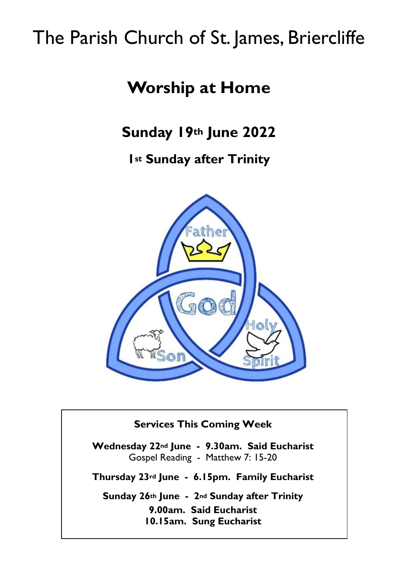# The Parish Church of St. James, Briercliffe

# **Worship at Home**

**Sunday 19th June 2022**

**1st Sunday after Trinity**



#### **Services This Coming Week**

**Wednesday 22nd June - 9.30am. Said Eucharist** Gospel Reading - Matthew 7: 15-20

**Thursday 23rd June - 6.15pm. Family Eucharist**

**Sunday 26th June - 2nd Sunday after Trinity 9.00am. Said Eucharist 10.15am. Sung Eucharist**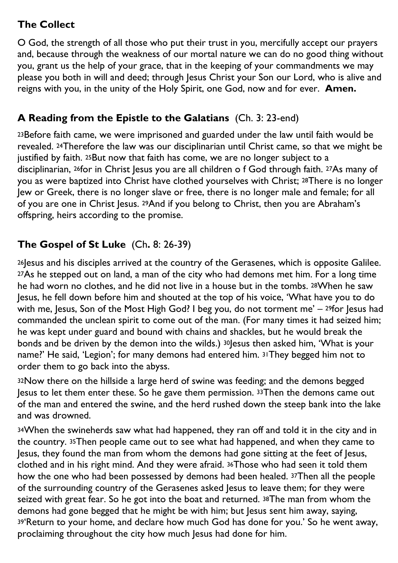## **The Collect**

O God, the strength of all those who put their trust in you, mercifully accept our prayers and, because through the weakness of our mortal nature we can do no good thing without you, grant us the help of your grace, that in the keeping of your commandments we may please you both in will and deed; through Jesus Christ your Son our Lord, who is alive and reigns with you, in the unity of the Holy Spirit, one God, now and for ever. **Amen.**

#### **A Reading from the Epistle to the Galatians** (Ch. 3: 23-end)

23Before faith came, we were imprisoned and guarded under the law until faith would be revealed. 24Therefore the law was our disciplinarian until Christ came, so that we might be justified by faith. 25But now that faith has come, we are no longer subject to a disciplinarian, 26for in Christ Jesus you are all children o f God through faith. 27As many of you as were baptized into Christ have clothed yourselves with Christ; 28There is no longer Jew or Greek, there is no longer slave or free, there is no longer male and female; for all of you are one in Christ Jesus. 29And if you belong to Christ, then you are Abraham's offspring, heirs according to the promise.

# **The Gospel of St Luke** (Ch**.** 8: 26-39)

26 Jesus and his disciples arrived at the country of the Gerasenes, which is opposite Galilee. 27As he stepped out on land, a man of the city who had demons met him. For a long time he had worn no clothes, and he did not live in a house but in the tombs. 28When he saw Jesus, he fell down before him and shouted at the top of his voice, 'What have you to do with me, Jesus, Son of the Most High God? I beg you, do not torment me'  $-$  29for Jesus had commanded the unclean spirit to come out of the man. (For many times it had seized him; he was kept under guard and bound with chains and shackles, but he would break the bonds and be driven by the demon into the wilds.) 30Jesus then asked him, 'What is your name?' He said, 'Legion'; for many demons had entered him. 31They begged him not to order them to go back into the abyss.

<sup>32</sup>Now there on the hillside a large herd of swine was feeding; and the demons begged Jesus to let them enter these. So he gave them permission. 33Then the demons came out of the man and entered the swine, and the herd rushed down the steep bank into the lake and was drowned.

<sup>34</sup>When the swineherds saw what had happened, they ran off and told it in the city and in the country. 35Then people came out to see what had happened, and when they came to Jesus, they found the man from whom the demons had gone sitting at the feet of Jesus, clothed and in his right mind. And they were afraid. 36Those who had seen it told them how the one who had been possessed by demons had been healed. 37Then all the people of the surrounding country of the Gerasenes asked Jesus to leave them; for they were seized with great fear. So he got into the boat and returned. 38The man from whom the demons had gone begged that he might be with him; but Jesus sent him away, saying, <sup>39</sup>'Return to your home, and declare how much God has done for you.' So he went away, proclaiming throughout the city how much lesus had done for him.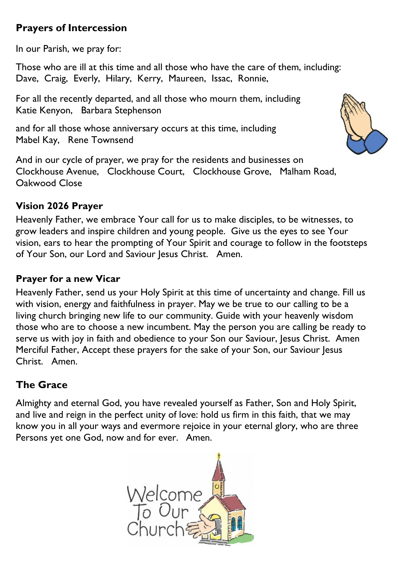## **Prayers of Intercession**

In our Parish, we pray for:

Those who are ill at this time and all those who have the care of them, including: Dave, Craig, Everly, Hilary, Kerry, Maureen, Issac, Ronnie,

For all the recently departed, and all those who mourn them, including Katie Kenyon, Barbara Stephenson

and for all those whose anniversary occurs at this time, including Mabel Kay, Rene Townsend

And in our cycle of prayer, we pray for the residents and businesses on Clockhouse Avenue, Clockhouse Court, Clockhouse Grove, Malham Road, Oakwood Close

#### **Vision 2026 Prayer**

Heavenly Father, we embrace Your call for us to make disciples, to be witnesses, to grow leaders and inspire children and young people. Give us the eyes to see Your vision, ears to hear the prompting of Your Spirit and courage to follow in the footsteps of Your Son, our Lord and Saviour Jesus Christ. Amen.

#### **Prayer for a new Vicar**

Heavenly Father, send us your Holy Spirit at this time of uncertainty and change. Fill us with vision, energy and faithfulness in prayer. May we be true to our calling to be a living church bringing new life to our community. Guide with your heavenly wisdom those who are to choose a new incumbent. May the person you are calling be ready to serve us with joy in faith and obedience to your Son our Saviour, Jesus Christ. Amen Merciful Father, Accept these prayers for the sake of your Son, our Saviour Jesus Christ. Amen.

## **The Grace**

Almighty and eternal God, you have revealed yourself as Father, Son and Holy Spirit, and live and reign in the perfect unity of love: hold us firm in this faith, that we may know you in all your ways and evermore rejoice in your eternal glory, who are three Persons yet one God, now and for ever. Amen.